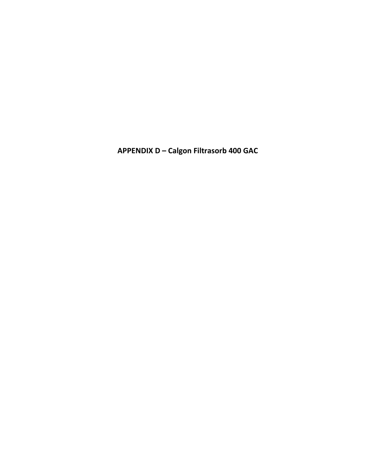APPENDIX D - Calgon Filtrasorb 400 GAC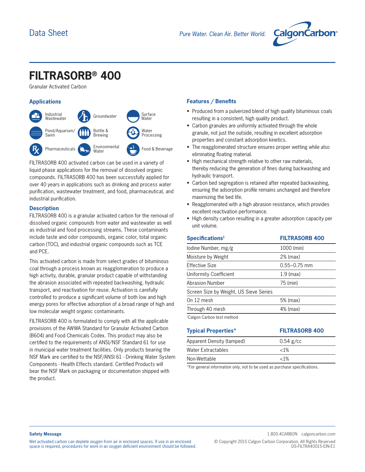

# **FILTRASORB® 400**

Granular Activated Carbon



FILTRASORB 400 activated carbon can be used in a variety of liquid phase applications for the removal of dissolved organic compounds. FILTRASORB 400 has been successfully applied for over 40 years in applications such as drinking and process water purification, wastewater treatment, and food, pharmaceutical, and industrial purification.

### **Description**

FILTRASORB 400 is a granular activated carbon for the removal of dissolved organic compounds from water and wastewater as well as industrial and food processing streams. These contaminants include taste and odor compounds, organic color, total organic carbon (TOC), and industrial organic compounds such as TCE and PCE.

This activated carbon is made from select grades of bituminous coal through a process known as reagglomeration to produce a high activity, durable, granular product capable of withstanding the abrasion associated with repeated backwashing, hydraulic transport, and reactivation for reuse. Activation is carefully controlled to produce a significant volume of both low and high energy pores for effective adsorption of a broad range of high and low molecular weight organic contaminants.

FILTRASORB 400 is formulated to comply with all the applicable provisions of the AWWA Standard for Granular Activated Carbon (B604) and Food Chemicals Codex. This product may also be certified to the requirements of ANSI/NSF Standard 61 for use in municipal water treatment facilities. Only products bearing the NSF Mark are certified to the NSF/ANSI 61 - Drinking Water System Components - Health Effects standard. Certified Products will bear the NSF Mark on packaging or documentation shipped with the product.

## **Applications Features / Benefits**

- Produced from a pulverized blend of high quality bituminous coals resulting in a consistent, high quality product.
- Carbon granules are uniformly activated through the whole granule, not just the outside, resulting in excellent adsorption properties and constant adsorption kinetics.
- The reagglomerated structure ensures proper wetting while also eliminating floating material.
- High mechanical strength relative to other raw materials, thereby reducing the generation of fines during backwashing and hydraulic transport.
- Carbon bed segregation is retained after repeated backwashing, ensuring the adsorption profile remains unchanged and therefore maximizing the bed life.
- Reagglomerated with a high abrasion resistance, which provides excellent reactivation performance.
- High density carbon resulting in a greater adsorption capacity per unit volume.

| Specifications <sup>1</sup>            | <b>FILTRASORB 400</b> |
|----------------------------------------|-----------------------|
| lodine Number, mg/g                    | 1000 (min)            |
| Moisture by Weight                     | 2% (max)              |
| Effective Size                         | $0.55 - 0.75$ mm      |
| Uniformity Coefficient                 | $1.9$ (max)           |
| <b>Abrasion Number</b>                 | 75 (min)              |
| Screen Size by Weight, US Sieve Series |                       |
| On 12 mesh                             | 5% (max)              |
| Through 40 mesh                        | 4% (max)              |
| $10$ olgan $0$ orhan taat mathad       |                       |

1 Calgon Carbon test method

| <b>Typical Properties*</b> | <b>FILTRASORB 400</b> |
|----------------------------|-----------------------|
| Apparent Density (tamped)  | $0.54$ g/cc           |
| Water Extractables         | ${<}1\%$              |
| Non-Wettable               | ${<}1\%$              |

\*For general information only, not to be used as purchase specifications.

#### **Safety Message**

Wet activated carbon can deplete oxygen from air in enclosed spaces. If use in an enclosed space is required, procedures for work in an oxygen deficient environment should be followed.